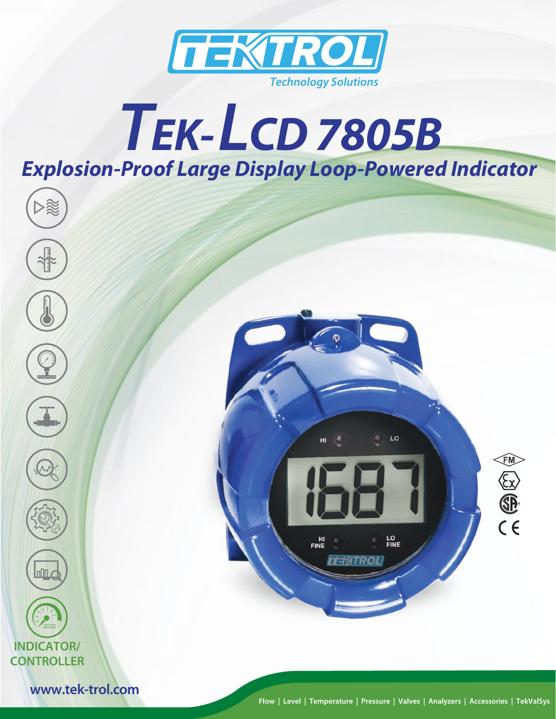

# *TEK-LCD 7805B Explosion-Proof Large Display Loop-Powered Indicator*



**Flow | Level | Temperature | Pressure | Valves | Analyzers | Accessories | TekValSys**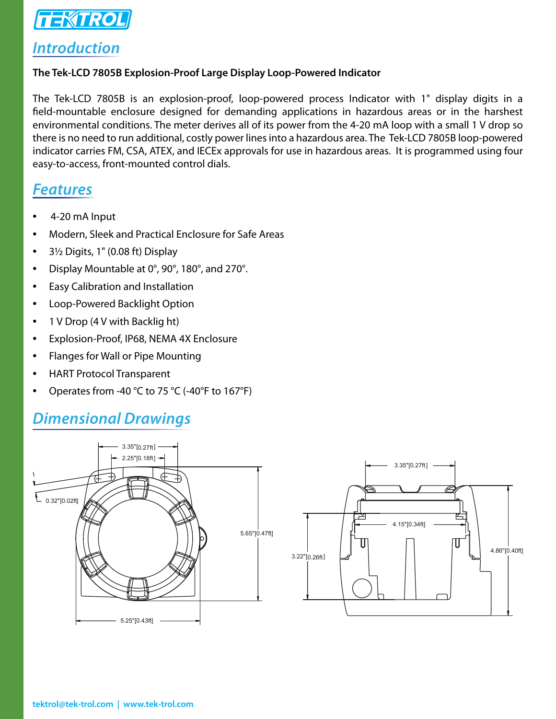

#### *Introduction*

#### **The Tek-LCD 7805B Explosion-Proof Large Display Loop-Powered Indicator**

The Tek-LCD 7805B is an explosion-proof, loop-powered process Indicator with 1" display digits in a field-mountable enclosure designed for demanding applications in hazardous areas or in the harshest environmental conditions. The meter derives all of its power from the 4-20 mA loop with a small 1 V drop so there is no need to run additional, costly power lines into a hazardous area. The Tek-LCD 7805B loop-powered indicator carries FM, CSA, ATEX, and IECEx approvals for use in hazardous areas. It is programmed using four easy-to-access, front-mounted control dials.

#### *Features*

- 4-20 mA Input
- Modern, Sleek and Practical Enclosure for Safe Areas
- 3½ Digits, 1" (0.08 ft) Display
- Display Mountable at 0°, 90°, 180°, and 270°.
- Easy Calibration and Installation
- Loop-Powered Backlight Option
- 1 V Drop (4 V with Backlig ht)
- Explosion-Proof, IP68, NEMA 4X Enclosure
- Flanges for Wall or Pipe Mounting
- HART Protocol Transparent
- Operates from -40 °C to 75 °C (-40°F to 167°F)

## *Dimensional Drawings*

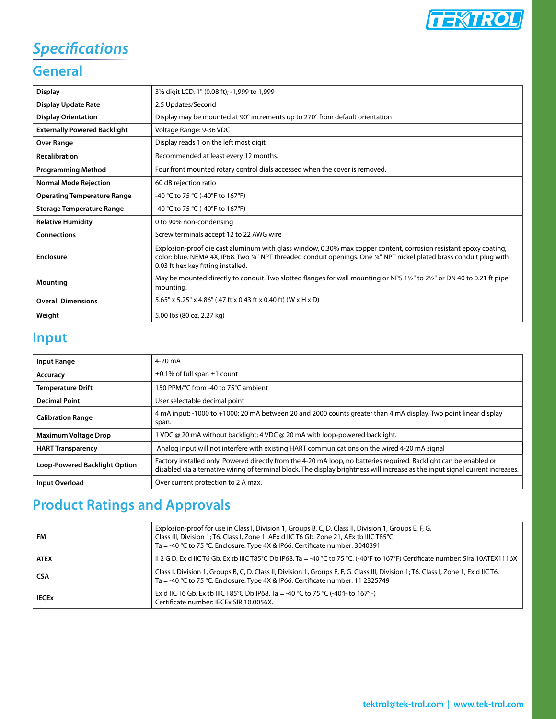

## *Specifications*

#### **General**

| <b>Display</b>                      | 31/2 digit LCD, 1" (0.08 ft); -1,999 to 1,999                                                                                                                                                                                                                                   |
|-------------------------------------|---------------------------------------------------------------------------------------------------------------------------------------------------------------------------------------------------------------------------------------------------------------------------------|
| <b>Display Update Rate</b>          | 2.5 Updates/Second                                                                                                                                                                                                                                                              |
| <b>Display Orientation</b>          | Display may be mounted at 90° increments up to 270° from default orientation                                                                                                                                                                                                    |
| <b>Externally Powered Backlight</b> | Voltage Range: 9-36 VDC                                                                                                                                                                                                                                                         |
| <b>Over Range</b>                   | Display reads 1 on the left most digit                                                                                                                                                                                                                                          |
| <b>Recalibration</b>                | Recommended at least every 12 months.                                                                                                                                                                                                                                           |
| <b>Programming Method</b>           | Four front mounted rotary control dials accessed when the cover is removed.                                                                                                                                                                                                     |
| <b>Normal Mode Rejection</b>        | 60 dB rejection ratio                                                                                                                                                                                                                                                           |
| <b>Operating Temperature Range</b>  | -40 °C to 75 °C (-40°F to 167°F)                                                                                                                                                                                                                                                |
| <b>Storage Temperature Range</b>    | -40 °C to 75 °C (-40°F to 167°F)                                                                                                                                                                                                                                                |
| <b>Relative Humidity</b>            | 0 to 90% non-condensing                                                                                                                                                                                                                                                         |
| <b>Connections</b>                  | Screw terminals accept 12 to 22 AWG wire                                                                                                                                                                                                                                        |
| Enclosure                           | Explosion-proof die cast aluminum with glass window, 0.30% max copper content, corrosion resistant epoxy coating,<br>color: blue. NEMA 4X, IP68. Two 34" NPT threaded conduit openings. One 34" NPT nickel plated brass conduit plug with<br>0.03 ft hex key fitting installed. |
| Mounting                            | May be mounted directly to conduit. Two slotted flanges for wall mounting or NPS 1½" to 2½" or DN 40 to 0.21 ft pipe<br>mounting.                                                                                                                                               |
| <b>Overall Dimensions</b>           | 5.65" x 5.25" x 4.86" (.47 ft x 0.43 ft x 0.40 ft) (W x H x D)                                                                                                                                                                                                                  |
| Weight                              | 5.00 lbs (80 oz, 2.27 kg)                                                                                                                                                                                                                                                       |

## **Input**

| <b>Input Range</b>                   | $4-20$ mA                                                                                                                                                                                                                                            |
|--------------------------------------|------------------------------------------------------------------------------------------------------------------------------------------------------------------------------------------------------------------------------------------------------|
| Accuracy                             | $\pm$ 0.1% of full span $\pm$ 1 count                                                                                                                                                                                                                |
| <b>Temperature Drift</b>             | 150 PPM/℃ from -40 to 75℃ ambient                                                                                                                                                                                                                    |
| <b>Decimal Point</b>                 | User selectable decimal point                                                                                                                                                                                                                        |
| <b>Calibration Range</b>             | 4 mA input: -1000 to +1000; 20 mA between 20 and 2000 counts greater than 4 mA display. Two point linear display<br>span.                                                                                                                            |
| <b>Maximum Voltage Drop</b>          | ∣ VDC @ 20 mA without backlight; 4 VDC @ 20 mA with loop-powered backlight.                                                                                                                                                                          |
| <b>HART Transparency</b>             | Analog input will not interfere with existing HART communications on the wired 4-20 mA signal                                                                                                                                                        |
| <b>Loop-Powered Backlight Option</b> | Factory installed only. Powered directly from the 4-20 mA loop, no batteries required. Backlight can be enabled or<br>disabled via alternative wiring of terminal block. The display brightness will increase as the input signal current increases. |
| Input Overload                       | Over current protection to 2 A max.                                                                                                                                                                                                                  |
|                                      |                                                                                                                                                                                                                                                      |

## **Product Ratings and Approvals**

| <b>FM</b>               | Explosion-proof for use in Class I, Division 1, Groups B, C, D. Class II, Division 1, Groups E, F, G.<br>Class III, Division 1; T6. Class I, Zone 1, AEx d IIC T6 Gb. Zone 21, AEx tb IIIC T85°C.<br>Ta = -40 °C to 75 °C. Enclosure: Type 4X & IP66. Certificate number: 3040391 |
|-------------------------|-----------------------------------------------------------------------------------------------------------------------------------------------------------------------------------------------------------------------------------------------------------------------------------|
| <b>ATEX</b>             | II 2 G D. Ex d IIC T6 Gb. Ex tb IIIC T85°C Db IP68. Ta = -40 °C to 75 °C. (-40°F to 167°F) Certificate number: Sira 10ATEX1116X                                                                                                                                                   |
| CSA                     | Class I, Division 1, Groups B, C, D. Class II, Division 1, Groups E, F, G. Class III, Division 1; T6. Class I, Zone 1, Ex d IIC T6.<br>Ta = -40 °C to 75 °C. Enclosure: Type 4X & IP66. Certificate number: 11 2325749                                                            |
| <b>IECE<sub>x</sub></b> | Ex d IIC T6 Gb. Ex tb IIIC T85°C Db IP68. Ta = -40 °C to 75 °C (-40°F to 167°F)<br>Certificate number: IECEx SIR 10.0056X.                                                                                                                                                        |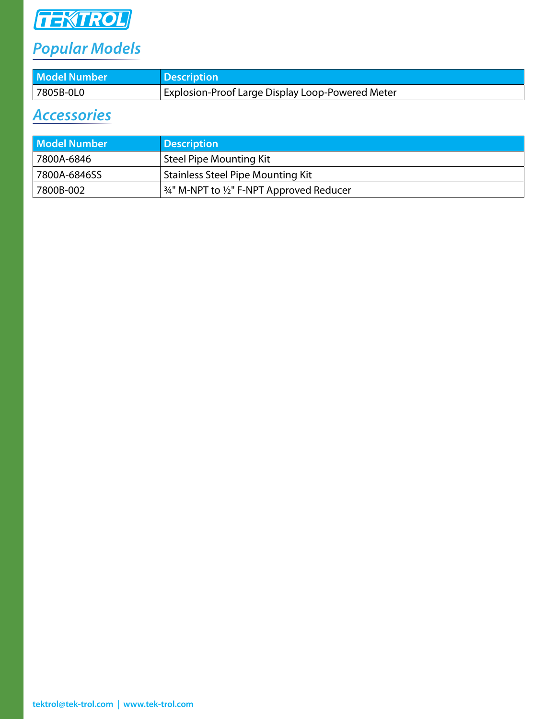

# *Popular Models*

| <b>Model Number</b> | <b>Description</b>                                      |
|---------------------|---------------------------------------------------------|
| 7805B-0L0           | <b>Explosion-Proof Large Display Loop-Powered Meter</b> |

## *Accessories*

| <b>Model Number</b> | <b>Description</b>                       |
|---------------------|------------------------------------------|
| 7800A-6846          | Steel Pipe Mounting Kit                  |
| 7800A-6846SS        | <b>Stainless Steel Pipe Mounting Kit</b> |
| 7800B-002           | 34" M-NPT to 1/2" F-NPT Approved Reducer |